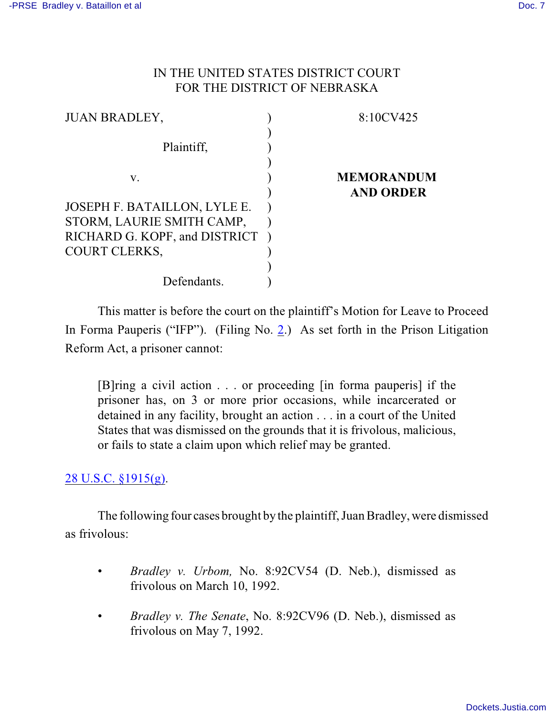## IN THE UNITED STATES DISTRICT COURT FOR THE DISTRICT OF NEBRASKA

| <b>JUAN BRADLEY,</b>            | 8:10CV425         |
|---------------------------------|-------------------|
|                                 |                   |
| Plaintiff,                      |                   |
|                                 |                   |
| V.                              | <b>MEMORANDUM</b> |
|                                 | <b>AND ORDER</b>  |
| JOSEPH F. BATAILLON, LYLE E.    |                   |
| STORM, LAURIE SMITH CAMP,       |                   |
| RICHARD G. KOPF, and DISTRICT ) |                   |
| <b>COURT CLERKS,</b>            |                   |
|                                 |                   |
| Defendants.                     |                   |

This matter is before the court on the plaintiff's Motion for Leave to Proceed In Forma Pauperis ("IFP"). (Filing No. [2](http://ecf.ned.uscourts.gov/doc1/11302134757).) As set forth in the Prison Litigation Reform Act, a prisoner cannot:

[B]ring a civil action . . . or proceeding [in forma pauperis] if the prisoner has, on 3 or more prior occasions, while incarcerated or detained in any facility, brought an action . . . in a court of the United States that was dismissed on the grounds that it is frivolous, malicious, or fails to state a claim upon which relief may be granted.

## [28 U.S.C. §1915\(g\)](http://web2.westlaw.com/find/default.wl?rs=WLW8.11&ifm=NotSet&fn=_top&sv=Split&cite=28+usc+1915&vr=2.0&rp=%2ffind%2fdefault.wl&mt=Westlaw).

The following four cases brought by the plaintiff, Juan Bradley, were dismissed as frivolous:

- *Bradley v. Urbom,* No. 8:92CV54 (D. Neb.), dismissed as frivolous on March 10, 1992.
- *Bradley v. The Senate*, No. 8:92CV96 (D. Neb.), dismissed as frivolous on May 7, 1992.